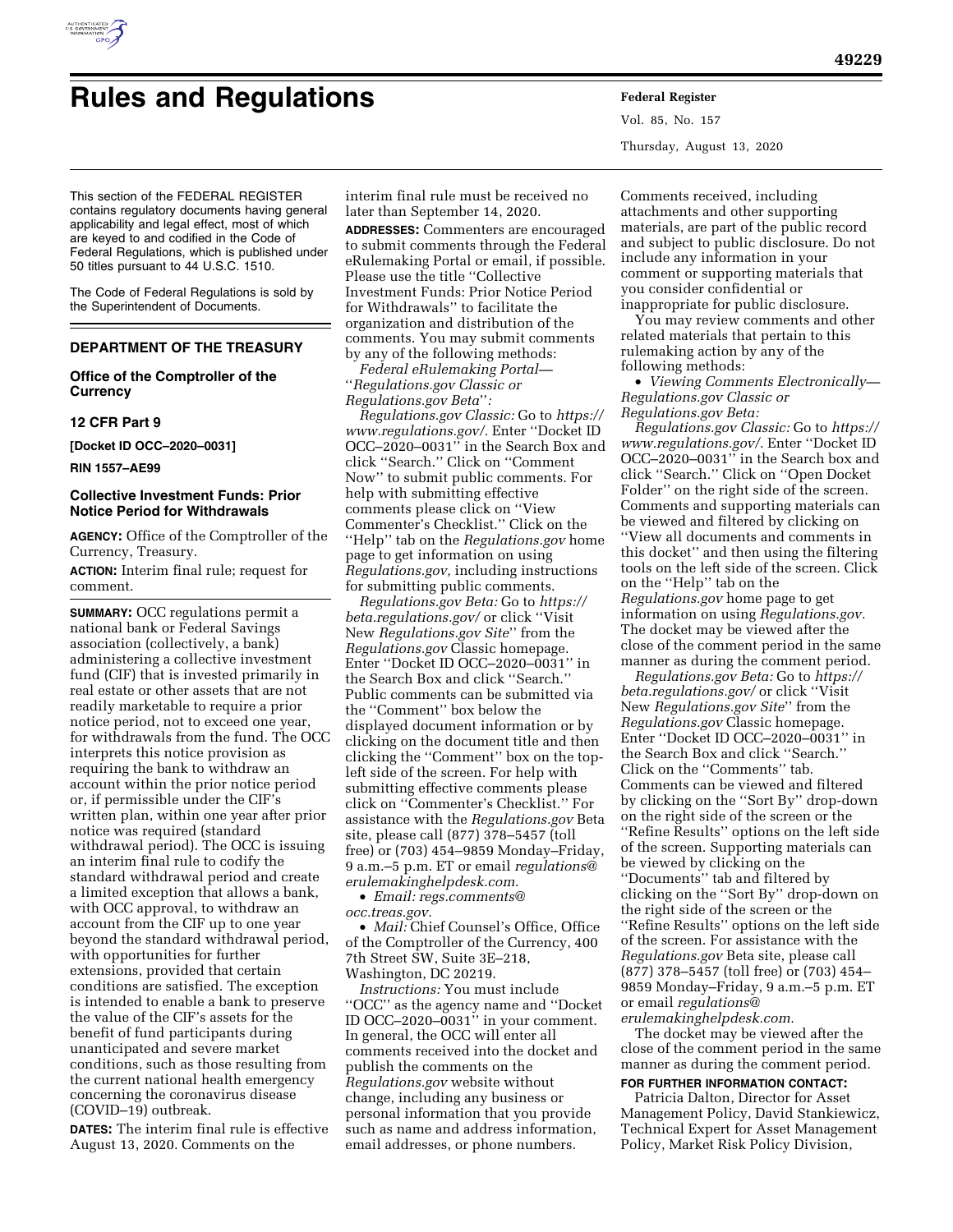

Vol. 85, No. 157 Thursday, August 13, 2020

This section of the FEDERAL REGISTER contains regulatory documents having general applicability and legal effect, most of which are keyed to and codified in the Code of Federal Regulations, which is published under 50 titles pursuant to 44 U.S.C. 1510.

The Code of Federal Regulations is sold by the Superintendent of Documents.

# **DEPARTMENT OF THE TREASURY**

**Office of the Comptroller of the Currency** 

# **12 CFR Part 9**

**[Docket ID OCC–2020–0031]** 

**RIN 1557–AE99** 

# **Collective Investment Funds: Prior Notice Period for Withdrawals**

**AGENCY:** Office of the Comptroller of the Currency, Treasury.

**ACTION:** Interim final rule; request for comment.

**SUMMARY:** OCC regulations permit a national bank or Federal Savings association (collectively, a bank) administering a collective investment fund (CIF) that is invested primarily in real estate or other assets that are not readily marketable to require a prior notice period, not to exceed one year, for withdrawals from the fund. The OCC interprets this notice provision as requiring the bank to withdraw an account within the prior notice period or, if permissible under the CIF's written plan, within one year after prior notice was required (standard withdrawal period). The OCC is issuing an interim final rule to codify the standard withdrawal period and create a limited exception that allows a bank, with OCC approval, to withdraw an account from the CIF up to one year beyond the standard withdrawal period, with opportunities for further extensions, provided that certain conditions are satisfied. The exception is intended to enable a bank to preserve the value of the CIF's assets for the benefit of fund participants during unanticipated and severe market conditions, such as those resulting from the current national health emergency concerning the coronavirus disease (COVID–19) outbreak.

**DATES:** The interim final rule is effective August 13, 2020. Comments on the

interim final rule must be received no later than September 14, 2020.

**ADDRESSES:** Commenters are encouraged to submit comments through the Federal eRulemaking Portal or email, if possible. Please use the title ''Collective Investment Funds: Prior Notice Period for Withdrawals'' to facilitate the organization and distribution of the comments. You may submit comments by any of the following methods:

*Federal eRulemaking Portal—*  ''*Regulations.gov Classic or Regulations.gov Beta*''*:* 

*Regulations.gov Classic:* Go to *[https://](https://www.regulations.gov/)  [www.regulations.gov/.](https://www.regulations.gov/)* Enter ''Docket ID OCC–2020–0031'' in the Search Box and click ''Search.'' Click on ''Comment Now'' to submit public comments. For help with submitting effective comments please click on ''View Commenter's Checklist.'' Click on the ''Help'' tab on the *Regulations.gov* home page to get information on using *Regulations.gov,* including instructions for submitting public comments.

*Regulations.gov Beta:* Go to *[https://](https://beta.regulations.gov/) [beta.regulations.gov/](https://beta.regulations.gov/)* or click ''Visit New *Regulations.gov Site*'' from the *Regulations.gov* Classic homepage. Enter ''Docket ID OCC–2020–0031'' in the Search Box and click ''Search.'' Public comments can be submitted via the ''Comment'' box below the displayed document information or by clicking on the document title and then clicking the ''Comment'' box on the topleft side of the screen. For help with submitting effective comments please click on ''Commenter's Checklist.'' For assistance with the *Regulations.gov* Beta site, please call (877) 378–5457 (toll free) or (703) 454–9859 Monday–Friday, 9 a.m.–5 p.m. ET or email *[regulations@](mailto:regulations@erulemakinghelpdesk.com) [erulemakinghelpdesk.com.](mailto:regulations@erulemakinghelpdesk.com)* 

• *Email: [regs.comments@](mailto:regs.comments@occ.treas.gov) [occ.treas.gov.](mailto:regs.comments@occ.treas.gov)* 

• *Mail:* Chief Counsel's Office, Office of the Comptroller of the Currency, 400 7th Street SW, Suite 3E–218, Washington, DC 20219.

*Instructions:* You must include ''OCC'' as the agency name and ''Docket ID OCC–2020–0031'' in your comment. In general, the OCC will enter all comments received into the docket and publish the comments on the *Regulations.gov* website without change, including any business or personal information that you provide such as name and address information, email addresses, or phone numbers.

Comments received, including attachments and other supporting materials, are part of the public record and subject to public disclosure. Do not include any information in your comment or supporting materials that you consider confidential or inappropriate for public disclosure.

You may review comments and other related materials that pertain to this rulemaking action by any of the following methods:

• *Viewing Comments Electronically— Regulations.gov Classic or Regulations.gov Beta:* 

*Regulations.gov Classic:* Go to *[https://](https://www.regulations.gov/)  [www.regulations.gov/.](https://www.regulations.gov/)* Enter ''Docket ID OCC–2020–0031'' in the Search box and click ''Search.'' Click on ''Open Docket Folder'' on the right side of the screen. Comments and supporting materials can be viewed and filtered by clicking on ''View all documents and comments in this docket'' and then using the filtering tools on the left side of the screen. Click on the ''Help'' tab on the *Regulations.gov* home page to get information on using *Regulations.gov.*  The docket may be viewed after the close of the comment period in the same manner as during the comment period.

*Regulations.gov Beta:* Go to *[https://](https://beta.regulations.gov/) [beta.regulations.gov/](https://beta.regulations.gov/)* or click ''Visit New *Regulations.gov Site*'' from the *Regulations.gov* Classic homepage. Enter ''Docket ID OCC–2020–0031'' in the Search Box and click ''Search.'' Click on the ''Comments'' tab. Comments can be viewed and filtered by clicking on the ''Sort By'' drop-down on the right side of the screen or the ''Refine Results'' options on the left side of the screen. Supporting materials can be viewed by clicking on the ''Documents'' tab and filtered by clicking on the ''Sort By'' drop-down on the right side of the screen or the ''Refine Results'' options on the left side of the screen. For assistance with the *Regulations.gov* Beta site, please call (877) 378–5457 (toll free) or (703) 454– 9859 Monday–Friday, 9 a.m.–5 p.m. ET or email *[regulations@](mailto:regulations@erulemakinghelpdesk.com) [erulemakinghelpdesk.com.](mailto:regulations@erulemakinghelpdesk.com)* 

The docket may be viewed after the close of the comment period in the same manner as during the comment period.

**FOR FURTHER INFORMATION CONTACT:** 

Patricia Dalton, Director for Asset Management Policy, David Stankiewicz, Technical Expert for Asset Management Policy, Market Risk Policy Division,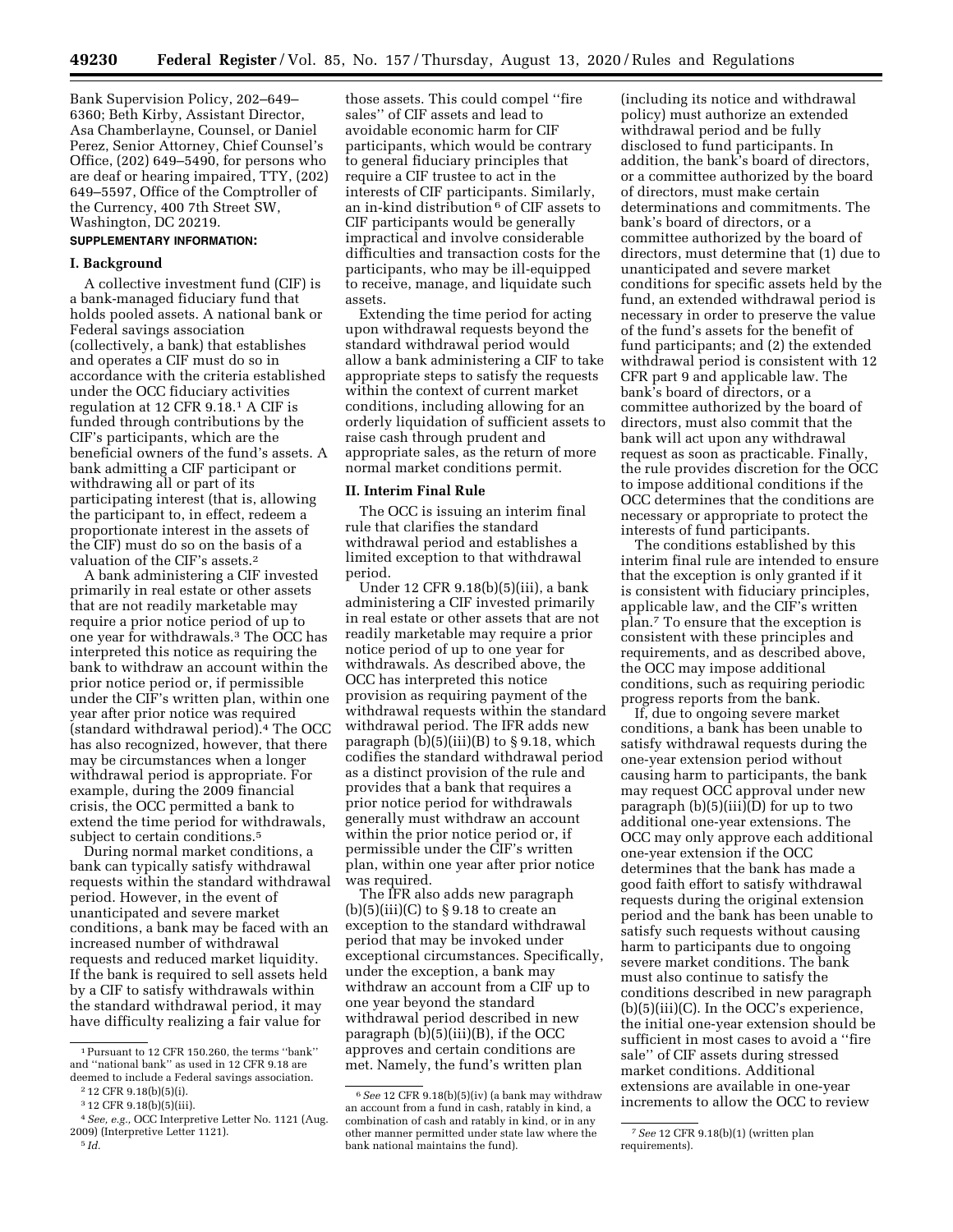Bank Supervision Policy, 202–649– 6360; Beth Kirby, Assistant Director, Asa Chamberlayne, Counsel, or Daniel Perez, Senior Attorney, Chief Counsel's Office, (202) 649–5490, for persons who are deaf or hearing impaired, TTY, (202) 649–5597, Office of the Comptroller of the Currency, 400 7th Street SW, Washington, DC 20219.

# **SUPPLEMENTARY INFORMATION:**

## **I. Background**

A collective investment fund (CIF) is a bank-managed fiduciary fund that holds pooled assets. A national bank or Federal savings association (collectively, a bank) that establishes and operates a CIF must do so in accordance with the criteria established under the OCC fiduciary activities regulation at 12 CFR 9.18.1 A CIF is funded through contributions by the CIF's participants, which are the beneficial owners of the fund's assets. A bank admitting a CIF participant or withdrawing all or part of its participating interest (that is, allowing the participant to, in effect, redeem a proportionate interest in the assets of the CIF) must do so on the basis of a valuation of the CIF's assets.<sup>2</sup>

A bank administering a CIF invested primarily in real estate or other assets that are not readily marketable may require a prior notice period of up to one year for withdrawals.3 The OCC has interpreted this notice as requiring the bank to withdraw an account within the prior notice period or, if permissible under the CIF's written plan, within one year after prior notice was required (standard withdrawal period).4 The OCC has also recognized, however, that there may be circumstances when a longer withdrawal period is appropriate. For example, during the 2009 financial crisis, the OCC permitted a bank to extend the time period for withdrawals, subject to certain conditions.<sup>5</sup>

During normal market conditions, a bank can typically satisfy withdrawal requests within the standard withdrawal period. However, in the event of unanticipated and severe market conditions, a bank may be faced with an increased number of withdrawal requests and reduced market liquidity. If the bank is required to sell assets held by a CIF to satisfy withdrawals within the standard withdrawal period, it may have difficulty realizing a fair value for

those assets. This could compel ''fire sales'' of CIF assets and lead to avoidable economic harm for CIF participants, which would be contrary to general fiduciary principles that require a CIF trustee to act in the interests of CIF participants. Similarly, an in-kind distribution 6 of CIF assets to CIF participants would be generally impractical and involve considerable difficulties and transaction costs for the participants, who may be ill-equipped to receive, manage, and liquidate such assets.

Extending the time period for acting upon withdrawal requests beyond the standard withdrawal period would allow a bank administering a CIF to take appropriate steps to satisfy the requests within the context of current market conditions, including allowing for an orderly liquidation of sufficient assets to raise cash through prudent and appropriate sales, as the return of more normal market conditions permit.

#### **II. Interim Final Rule**

The OCC is issuing an interim final rule that clarifies the standard withdrawal period and establishes a limited exception to that withdrawal period.

Under 12 CFR 9.18(b)(5)(iii), a bank administering a CIF invested primarily in real estate or other assets that are not readily marketable may require a prior notice period of up to one year for withdrawals. As described above, the OCC has interpreted this notice provision as requiring payment of the withdrawal requests within the standard withdrawal period. The IFR adds new paragraph  $(b)(5)(iii)(B)$  to § 9.18, which codifies the standard withdrawal period as a distinct provision of the rule and provides that a bank that requires a prior notice period for withdrawals generally must withdraw an account within the prior notice period or, if permissible under the CIF's written plan, within one year after prior notice was required.

The IFR also adds new paragraph  $(b)(5)(iii)(C)$  to §9.18 to create an exception to the standard withdrawal period that may be invoked under exceptional circumstances. Specifically, under the exception, a bank may withdraw an account from a CIF up to one year beyond the standard withdrawal period described in new paragraph (b)(5)(iii)(B), if the OCC approves and certain conditions are met. Namely, the fund's written plan

(including its notice and withdrawal policy) must authorize an extended withdrawal period and be fully disclosed to fund participants. In addition, the bank's board of directors, or a committee authorized by the board of directors, must make certain determinations and commitments. The bank's board of directors, or a committee authorized by the board of directors, must determine that (1) due to unanticipated and severe market conditions for specific assets held by the fund, an extended withdrawal period is necessary in order to preserve the value of the fund's assets for the benefit of fund participants; and (2) the extended withdrawal period is consistent with 12 CFR part 9 and applicable law. The bank's board of directors, or a committee authorized by the board of directors, must also commit that the bank will act upon any withdrawal request as soon as practicable. Finally, the rule provides discretion for the OCC to impose additional conditions if the OCC determines that the conditions are necessary or appropriate to protect the interests of fund participants.

The conditions established by this interim final rule are intended to ensure that the exception is only granted if it is consistent with fiduciary principles, applicable law, and the CIF's written plan.7 To ensure that the exception is consistent with these principles and requirements, and as described above, the OCC may impose additional conditions, such as requiring periodic progress reports from the bank.

If, due to ongoing severe market conditions, a bank has been unable to satisfy withdrawal requests during the one-year extension period without causing harm to participants, the bank may request OCC approval under new paragraph  $(b)(5)(iii)(D)$  for up to two additional one-year extensions. The OCC may only approve each additional one-year extension if the OCC determines that the bank has made a good faith effort to satisfy withdrawal requests during the original extension period and the bank has been unable to satisfy such requests without causing harm to participants due to ongoing severe market conditions. The bank must also continue to satisfy the conditions described in new paragraph (b)(5)(iii)(C). In the OCC's experience, the initial one-year extension should be sufficient in most cases to avoid a ''fire sale'' of CIF assets during stressed market conditions. Additional extensions are available in one-year increments to allow the OCC to review

<sup>1</sup>Pursuant to 12 CFR 150.260, the terms ''bank'' and ''national bank'' as used in 12 CFR 9.18 are deemed to include a Federal savings association.

<sup>2</sup> 12 CFR 9.18(b)(5)(i).

<sup>3</sup> 12 CFR 9.18(b)(5)(iii).

<sup>4</sup>*See, e.g.,* OCC Interpretive Letter No. 1121 (Aug. 2009) (Interpretive Letter 1121). 5 *Id.* 

<sup>6</sup>*See* 12 CFR 9.18(b)(5)(iv) (a bank may withdraw an account from a fund in cash, ratably in kind, a combination of cash and ratably in kind, or in any other manner permitted under state law where the bank national maintains the fund).

<sup>7</sup>*See* 12 CFR 9.18(b)(1) (written plan requirements).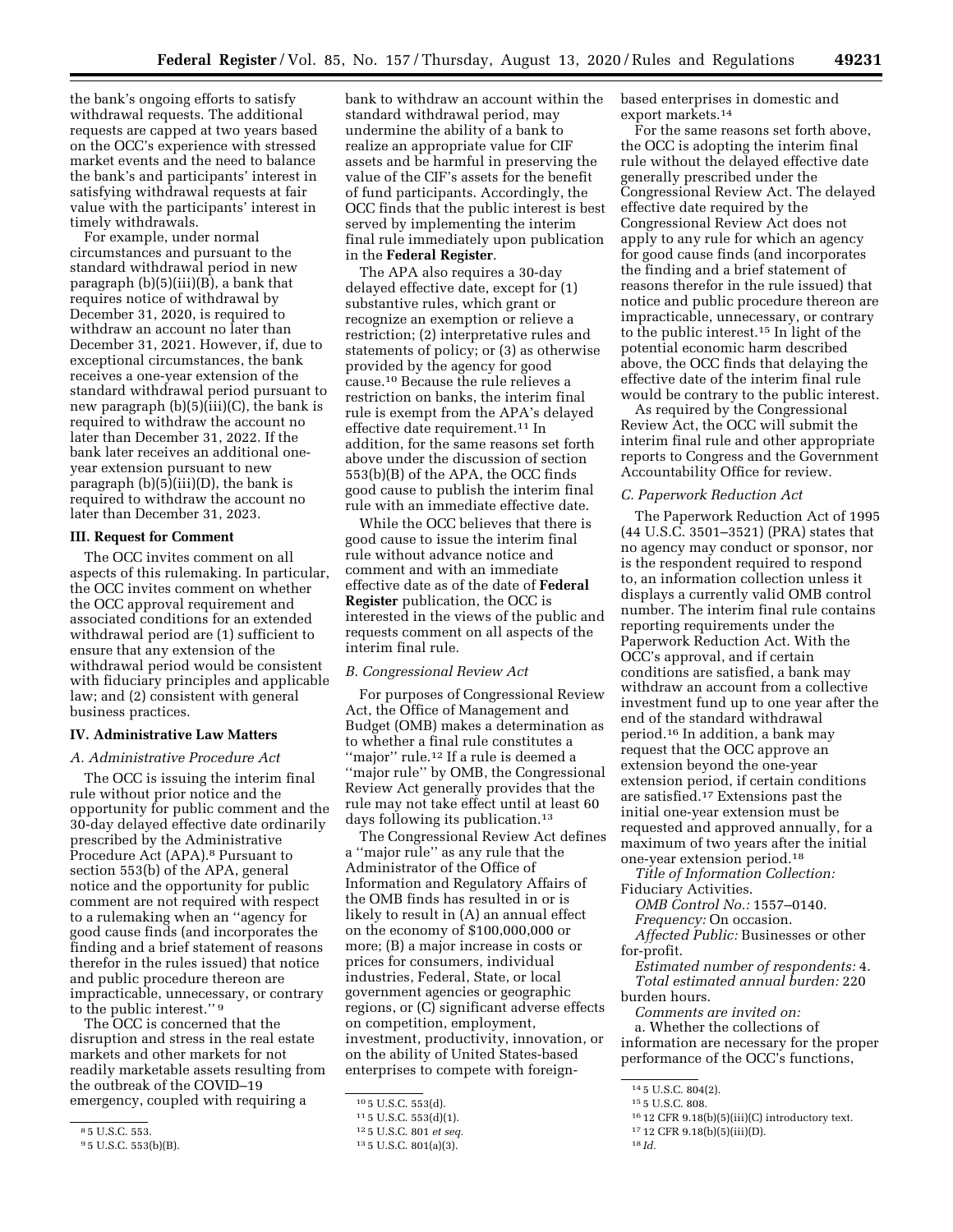the bank's ongoing efforts to satisfy withdrawal requests. The additional requests are capped at two years based on the OCC's experience with stressed market events and the need to balance the bank's and participants' interest in satisfying withdrawal requests at fair value with the participants' interest in timely withdrawals.

For example, under normal circumstances and pursuant to the standard withdrawal period in new paragraph (b)(5)(iii)(B), a bank that requires notice of withdrawal by December 31, 2020, is required to withdraw an account no later than December 31, 2021. However, if, due to exceptional circumstances, the bank receives a one-year extension of the standard withdrawal period pursuant to new paragraph  $(b)(5)(iii)(C)$ , the bank is required to withdraw the account no later than December 31, 2022. If the bank later receives an additional oneyear extension pursuant to new paragraph (b)(5)(iii)(D), the bank is required to withdraw the account no later than December 31, 2023.

# **III. Request for Comment**

The OCC invites comment on all aspects of this rulemaking. In particular, the OCC invites comment on whether the OCC approval requirement and associated conditions for an extended withdrawal period are (1) sufficient to ensure that any extension of the withdrawal period would be consistent with fiduciary principles and applicable law; and (2) consistent with general business practices.

## **IV. Administrative Law Matters**

## *A. Administrative Procedure Act*

The OCC is issuing the interim final rule without prior notice and the opportunity for public comment and the 30-day delayed effective date ordinarily prescribed by the Administrative Procedure Act (APA).8 Pursuant to section 553(b) of the APA, general notice and the opportunity for public comment are not required with respect to a rulemaking when an ''agency for good cause finds (and incorporates the finding and a brief statement of reasons therefor in the rules issued) that notice and public procedure thereon are impracticable, unnecessary, or contrary to the public interest.'' 9

The OCC is concerned that the disruption and stress in the real estate markets and other markets for not readily marketable assets resulting from the outbreak of the COVID–19 emergency, coupled with requiring a

bank to withdraw an account within the standard withdrawal period, may undermine the ability of a bank to realize an appropriate value for CIF assets and be harmful in preserving the value of the CIF's assets for the benefit of fund participants. Accordingly, the OCC finds that the public interest is best served by implementing the interim final rule immediately upon publication in the **Federal Register**.

The APA also requires a 30-day delayed effective date, except for (1) substantive rules, which grant or recognize an exemption or relieve a restriction; (2) interpretative rules and statements of policy; or (3) as otherwise provided by the agency for good cause.10 Because the rule relieves a restriction on banks, the interim final rule is exempt from the APA's delayed effective date requirement.11 In addition, for the same reasons set forth above under the discussion of section 553(b)(B) of the APA, the OCC finds good cause to publish the interim final rule with an immediate effective date.

While the OCC believes that there is good cause to issue the interim final rule without advance notice and comment and with an immediate effective date as of the date of **Federal Register** publication, the OCC is interested in the views of the public and requests comment on all aspects of the interim final rule.

#### *B. Congressional Review Act*

For purposes of Congressional Review Act, the Office of Management and Budget (OMB) makes a determination as to whether a final rule constitutes a ''major'' rule.12 If a rule is deemed a ''major rule'' by OMB, the Congressional Review Act generally provides that the rule may not take effect until at least 60 days following its publication.13

The Congressional Review Act defines a ''major rule'' as any rule that the Administrator of the Office of Information and Regulatory Affairs of the OMB finds has resulted in or is likely to result in (A) an annual effect on the economy of \$100,000,000 or more; (B) a major increase in costs or prices for consumers, individual industries, Federal, State, or local government agencies or geographic regions, or (C) significant adverse effects on competition, employment, investment, productivity, innovation, or on the ability of United States-based enterprises to compete with foreignbased enterprises in domestic and export markets.14

For the same reasons set forth above, the OCC is adopting the interim final rule without the delayed effective date generally prescribed under the Congressional Review Act. The delayed effective date required by the Congressional Review Act does not apply to any rule for which an agency for good cause finds (and incorporates the finding and a brief statement of reasons therefor in the rule issued) that notice and public procedure thereon are impracticable, unnecessary, or contrary to the public interest.15 In light of the potential economic harm described above, the OCC finds that delaying the effective date of the interim final rule would be contrary to the public interest.

As required by the Congressional Review Act, the OCC will submit the interim final rule and other appropriate reports to Congress and the Government Accountability Office for review.

## *C. Paperwork Reduction Act*

The Paperwork Reduction Act of 1995 (44 U.S.C. 3501–3521) (PRA) states that no agency may conduct or sponsor, nor is the respondent required to respond to, an information collection unless it displays a currently valid OMB control number. The interim final rule contains reporting requirements under the Paperwork Reduction Act. With the OCC's approval, and if certain conditions are satisfied, a bank may withdraw an account from a collective investment fund up to one year after the end of the standard withdrawal period.16 In addition, a bank may request that the OCC approve an extension beyond the one-year extension period, if certain conditions are satisfied.17 Extensions past the initial one-year extension must be requested and approved annually, for a maximum of two years after the initial one-year extension period.18

*Title of Information Collection:* 

Fiduciary Activities.

*OMB Control No.:* 1557–0140. *Frequency:* On occasion.

*Affected Public:* Businesses or other for-profit.

*Estimated number of respondents:* 4. *Total estimated annual burden:* 220 burden hours.

*Comments are invited on:* 

a. Whether the collections of information are necessary for the proper performance of the OCC's functions,

<sup>8</sup> 5 U.S.C. 553.

<sup>9</sup> 5 U.S.C. 553(b)(B).

<sup>10</sup> 5 U.S.C. 553(d).

<sup>11</sup> 5 U.S.C. 553(d)(1).

<sup>12</sup> 5 U.S.C. 801 *et seq.* 

<sup>13</sup> 5 U.S.C. 801(a)(3).

<sup>14</sup> 5 U.S.C. 804(2).

<sup>15</sup> 5 U.S.C. 808.

<sup>16</sup> 12 CFR 9.18(b)(5)(iii)(C) introductory text.

<sup>17</sup> 12 CFR 9.18(b)(5)(iii)(D).

<sup>18</sup> *Id.*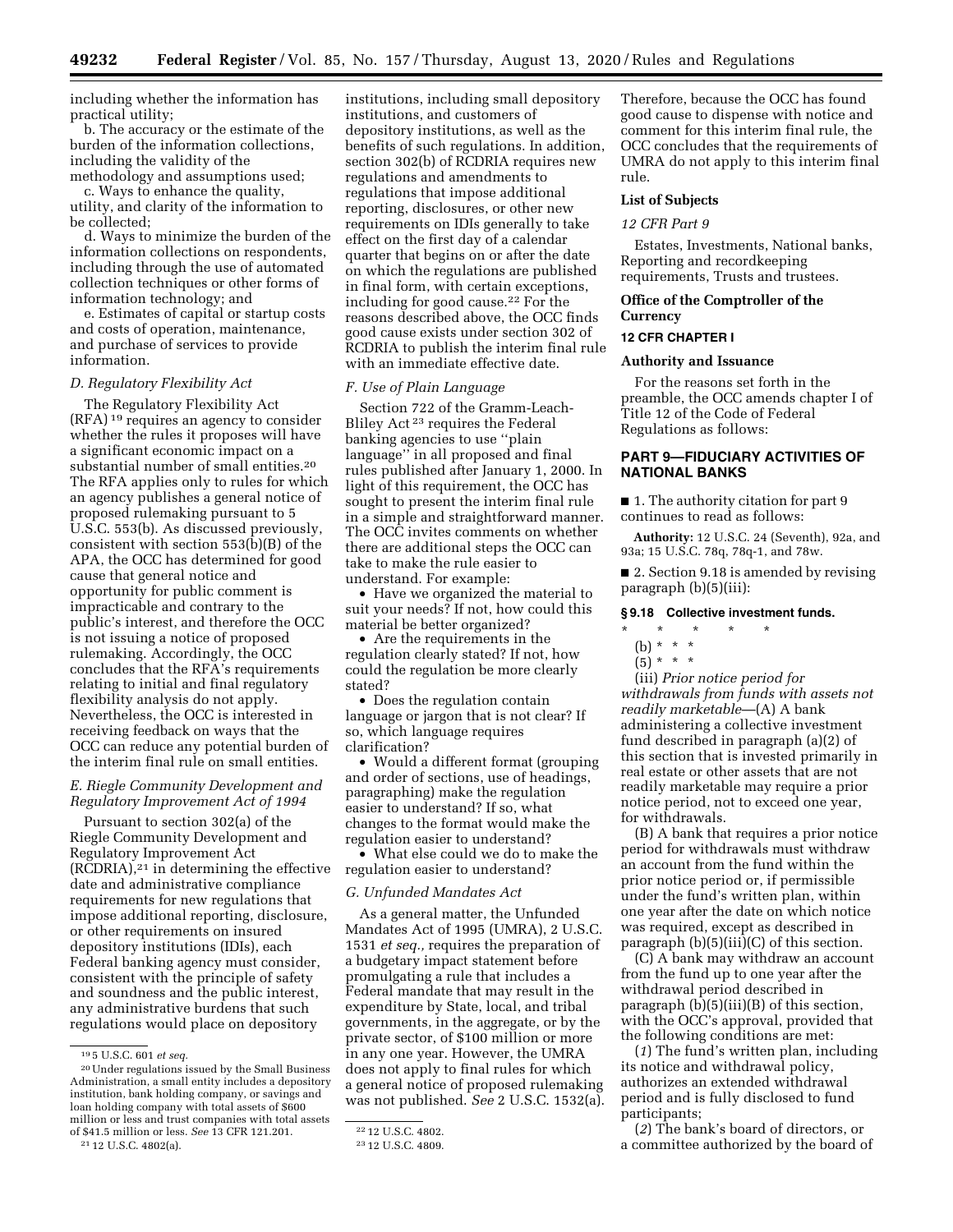including whether the information has practical utility;

b. The accuracy or the estimate of the burden of the information collections, including the validity of the methodology and assumptions used;

c. Ways to enhance the quality, utility, and clarity of the information to be collected;

d. Ways to minimize the burden of the information collections on respondents, including through the use of automated collection techniques or other forms of information technology; and

e. Estimates of capital or startup costs and costs of operation, maintenance, and purchase of services to provide information.

## *D. Regulatory Flexibility Act*

The Regulatory Flexibility Act (RFA) 19 requires an agency to consider whether the rules it proposes will have a significant economic impact on a substantial number of small entities.20 The RFA applies only to rules for which an agency publishes a general notice of proposed rulemaking pursuant to 5 U.S.C. 553(b). As discussed previously, consistent with section 553(b)(B) of the APA, the OCC has determined for good cause that general notice and opportunity for public comment is impracticable and contrary to the public's interest, and therefore the OCC is not issuing a notice of proposed rulemaking. Accordingly, the OCC concludes that the RFA's requirements relating to initial and final regulatory flexibility analysis do not apply. Nevertheless, the OCC is interested in receiving feedback on ways that the OCC can reduce any potential burden of the interim final rule on small entities.

# *E. Riegle Community Development and Regulatory Improvement Act of 1994*

Pursuant to section 302(a) of the Riegle Community Development and Regulatory Improvement Act  $(RCDRIA),<sup>21</sup>$  in determining the effective date and administrative compliance requirements for new regulations that impose additional reporting, disclosure, or other requirements on insured depository institutions (IDIs), each Federal banking agency must consider, consistent with the principle of safety and soundness and the public interest, any administrative burdens that such regulations would place on depository

21 12 U.S.C. 4802(a).

institutions, including small depository institutions, and customers of depository institutions, as well as the benefits of such regulations. In addition, section 302(b) of RCDRIA requires new regulations and amendments to regulations that impose additional reporting, disclosures, or other new requirements on IDIs generally to take effect on the first day of a calendar quarter that begins on or after the date on which the regulations are published in final form, with certain exceptions, including for good cause.22 For the reasons described above, the OCC finds good cause exists under section 302 of RCDRIA to publish the interim final rule with an immediate effective date.

## *F. Use of Plain Language*

Section 722 of the Gramm-Leach-Bliley Act 23 requires the Federal banking agencies to use ''plain language'' in all proposed and final rules published after January 1, 2000. In light of this requirement, the OCC has sought to present the interim final rule in a simple and straightforward manner. The OCC invites comments on whether there are additional steps the OCC can take to make the rule easier to understand. For example:

• Have we organized the material to suit your needs? If not, how could this material be better organized?

• Are the requirements in the regulation clearly stated? If not, how could the regulation be more clearly stated?

• Does the regulation contain language or jargon that is not clear? If so, which language requires clarification?

• Would a different format (grouping and order of sections, use of headings, paragraphing) make the regulation easier to understand? If so, what changes to the format would make the regulation easier to understand?

• What else could we do to make the regulation easier to understand?

## *G. Unfunded Mandates Act*

As a general matter, the Unfunded Mandates Act of 1995 (UMRA), 2 U.S.C. 1531 *et seq.,* requires the preparation of a budgetary impact statement before promulgating a rule that includes a Federal mandate that may result in the expenditure by State, local, and tribal governments, in the aggregate, or by the private sector, of \$100 million or more in any one year. However, the UMRA does not apply to final rules for which a general notice of proposed rulemaking was not published. *See* 2 U.S.C. 1532(a).

Therefore, because the OCC has found good cause to dispense with notice and comment for this interim final rule, the OCC concludes that the requirements of UMRA do not apply to this interim final rule.

## **List of Subjects**

## *12 CFR Part 9*

Estates, Investments, National banks, Reporting and recordkeeping requirements, Trusts and trustees.

## **Office of the Comptroller of the Currency**

# **12 CFR CHAPTER I**

# **Authority and Issuance**

For the reasons set forth in the preamble, the OCC amends chapter I of Title 12 of the Code of Federal Regulations as follows:

# **PART 9—FIDUCIARY ACTIVITIES OF NATIONAL BANKS**

■ 1. The authority citation for part 9 continues to read as follows:

**Authority:** 12 U.S.C. 24 (Seventh), 92a, and 93a; 15 U.S.C. 78q, 78q-1, and 78w.

■ 2. Section 9.18 is amended by revising paragraph (b)(5)(iii):

## **§ 9.18 Collective investment funds.**

# \* \* \* \* \*

(b) \* \* \*

(iii) *Prior notice period for withdrawals from funds with assets not readily marketable*—(A) A bank administering a collective investment fund described in paragraph (a)(2) of this section that is invested primarily in real estate or other assets that are not readily marketable may require a prior notice period, not to exceed one year, for withdrawals.

(B) A bank that requires a prior notice period for withdrawals must withdraw an account from the fund within the prior notice period or, if permissible under the fund's written plan, within one year after the date on which notice was required, except as described in paragraph (b)(5)(iii)(C) of this section.

(C) A bank may withdraw an account from the fund up to one year after the withdrawal period described in paragraph (b)(5)(iii)(B) of this section, with the OCC's approval, provided that the following conditions are met:

(*1*) The fund's written plan, including its notice and withdrawal policy, authorizes an extended withdrawal period and is fully disclosed to fund participants;

(*2*) The bank's board of directors, or a committee authorized by the board of

<sup>19</sup> 5 U.S.C. 601 *et seq.* 

<sup>20</sup>Under regulations issued by the Small Business Administration, a small entity includes a depository institution, bank holding company, or savings and loan holding company with total assets of \$600 million or less and trust companies with total assets of \$41.5 million or less. *See* 13 CFR 121.201.

<sup>22</sup> 12 U.S.C. 4802.

<sup>23</sup> 12 U.S.C. 4809.

 $(5) * * * *$